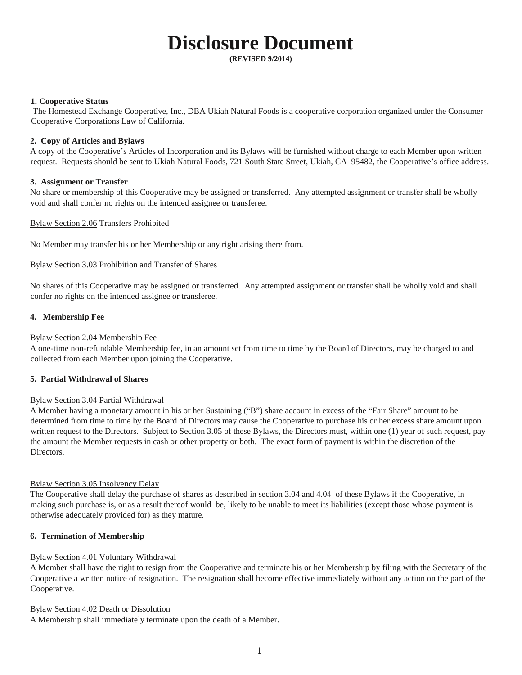# **Disclosure Document**

**(REVISED 9/2014)**

#### **1. Cooperative Status**

The Homestead Exchange Cooperative, Inc., DBA Ukiah Natural Foods is a cooperative corporation organized under the Consumer Cooperative Corporations Law of California.

## **2. Copy of Articles and Bylaws**

A copy of the Cooperative's Articles of Incorporation and its Bylaws will be furnished without charge to each Member upon written request. Requests should be sent to Ukiah Natural Foods, 721 South State Street, Ukiah, CA 95482, the Cooperative's office address.

## **3. Assignment or Transfer**

No share or membership of this Cooperative may be assigned or transferred. Any attempted assignment or transfer shall be wholly void and shall confer no rights on the intended assignee or transferee.

Bylaw Section 2.06 Transfers Prohibited

No Member may transfer his or her Membership or any right arising there from.

## Bylaw Section 3.03 Prohibition and Transfer of Shares

No shares of this Cooperative may be assigned or transferred. Any attempted assignment or transfer shall be wholly void and shall confer no rights on the intended assignee or transferee.

## **4. Membership Fee**

## Bylaw Section 2.04 Membership Fee

A one-time non-refundable Membership fee, in an amount set from time to time by the Board of Directors, may be charged to and collected from each Member upon joining the Cooperative.

## **5. Partial Withdrawal of Shares**

## Bylaw Section 3.04 Partial Withdrawal

A Member having a monetary amount in his or her Sustaining ("B") share account in excess of the "Fair Share" amount to be determined from time to time by the Board of Directors may cause the Cooperative to purchase his or her excess share amount upon written request to the Directors. Subject to Section 3.05 of these Bylaws, the Directors must, within one (1) year of such request, pay the amount the Member requests in cash or other property or both. The exact form of payment is within the discretion of the Directors.

## Bylaw Section 3.05 Insolvency Delay

The Cooperative shall delay the purchase of shares as described in section 3.04 and 4.04 of these Bylaws if the Cooperative, in making such purchase is, or as a result thereof would be, likely to be unable to meet its liabilities (except those whose payment is otherwise adequately provided for) as they mature.

## **6. Termination of Membership**

## Bylaw Section 4.01 Voluntary Withdrawal

A Member shall have the right to resign from the Cooperative and terminate his or her Membership by filing with the Secretary of the Cooperative a written notice of resignation. The resignation shall become effective immediately without any action on the part of the Cooperative.

## Bylaw Section 4.02 Death or Dissolution

A Membership shall immediately terminate upon the death of a Member.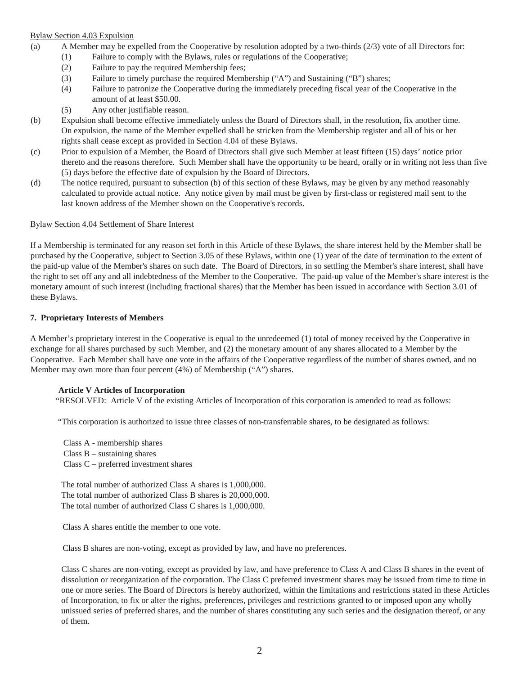## Bylaw Section 4.03 Expulsion

- (a) A Member may be expelled from the Cooperative by resolution adopted by a two-thirds (2/3) vote of all Directors for:
	- (1) Failure to comply with the Bylaws, rules or regulations of the Cooperative;
	- (2) Failure to pay the required Membership fees;
	- (3) Failure to timely purchase the required Membership ("A") and Sustaining ("B") shares;
	- (4) Failure to patronize the Cooperative during the immediately preceding fiscal year of the Cooperative in the amount of at least \$50.00.
	- (5) Any other justifiable reason.
- (b) Expulsion shall become effective immediately unless the Board of Directors shall, in the resolution, fix another time. On expulsion, the name of the Member expelled shall be stricken from the Membership register and all of his or her rights shall cease except as provided in Section 4.04 of these Bylaws.
- (c) Prior to expulsion of a Member, the Board of Directors shall give such Member at least fifteen (15) days' notice prior thereto and the reasons therefore. Such Member shall have the opportunity to be heard, orally or in writing not less than five (5) days before the effective date of expulsion by the Board of Directors.
- (d) The notice required, pursuant to subsection (b) of this section of these Bylaws, may be given by any method reasonably calculated to provide actual notice. Any notice given by mail must be given by first-class or registered mail sent to the last known address of the Member shown on the Cooperative's records.

#### Bylaw Section 4.04 Settlement of Share Interest

If a Membership is terminated for any reason set forth in this Article of these Bylaws, the share interest held by the Member shall be purchased by the Cooperative, subject to Section 3.05 of these Bylaws, within one (1) year of the date of termination to the extent of the paid-up value of the Member's shares on such date. The Board of Directors, in so settling the Member's share interest, shall have the right to set off any and all indebtedness of the Member to the Cooperative. The paid-up value of the Member's share interest is the monetary amount of such interest (including fractional shares) that the Member has been issued in accordance with Section 3.01 of these Bylaws.

#### **7. Proprietary Interests of Members**

A Member's proprietary interest in the Cooperative is equal to the unredeemed (1) total of money received by the Cooperative in exchange for all shares purchased by such Member, and (2) the monetary amount of any shares allocated to a Member by the Cooperative. Each Member shall have one vote in the affairs of the Cooperative regardless of the number of shares owned, and no Member may own more than four percent (4%) of Membership ("A") shares.

## **Article V Articles of Incorporation**

"RESOLVED: Article V of the existing Articles of Incorporation of this corporation is amended to read as follows:

"This corporation is authorized to issue three classes of non-transferrable shares, to be designated as follows:

 Class A - membership shares Class  $B$  – sustaining shares Class C – preferred investment shares

The total number of authorized Class A shares is 1,000,000. The total number of authorized Class B shares is 20,000,000. The total number of authorized Class C shares is 1,000,000.

Class A shares entitle the member to one vote.

Class B shares are non-voting, except as provided by law, and have no preferences.

Class C shares are non-voting, except as provided by law, and have preference to Class A and Class B shares in the event of dissolution or reorganization of the corporation. The Class C preferred investment shares may be issued from time to time in one or more series. The Board of Directors is hereby authorized, within the limitations and restrictions stated in these Articles of Incorporation, to fix or alter the rights, preferences, privileges and restrictions granted to or imposed upon any wholly unissued series of preferred shares, and the number of shares constituting any such series and the designation thereof, or any of them.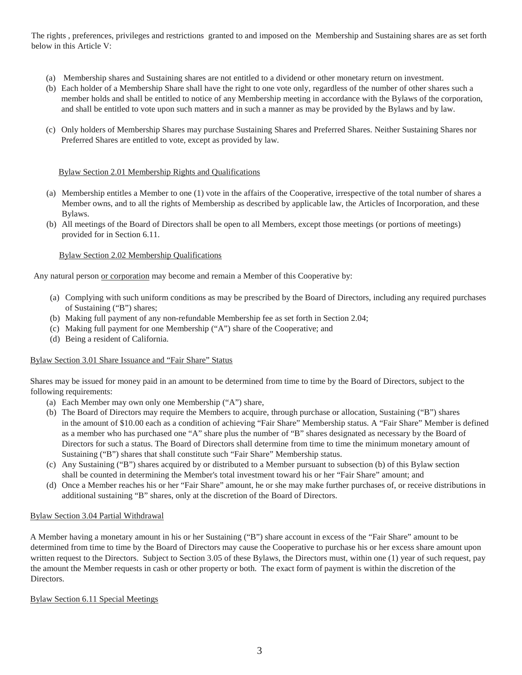The rights , preferences, privileges and restrictions granted to and imposed on the Membership and Sustaining shares are as set forth below in this Article V:

- (a) Membership shares and Sustaining shares are not entitled to a dividend or other monetary return on investment.
- (b) Each holder of a Membership Share shall have the right to one vote only, regardless of the number of other shares such a member holds and shall be entitled to notice of any Membership meeting in accordance with the Bylaws of the corporation, and shall be entitled to vote upon such matters and in such a manner as may be provided by the Bylaws and by law.
- (c) Only holders of Membership Shares may purchase Sustaining Shares and Preferred Shares. Neither Sustaining Shares nor Preferred Shares are entitled to vote, except as provided by law.

## Bylaw Section 2.01 Membership Rights and Qualifications

- (a) Membership entitles a Member to one (1) vote in the affairs of the Cooperative, irrespective of the total number of shares a Member owns, and to all the rights of Membership as described by applicable law, the Articles of Incorporation, and these Bylaws.
- (b) All meetings of the Board of Directors shall be open to all Members, except those meetings (or portions of meetings) provided for in Section 6.11.

## Bylaw Section 2.02 Membership Qualifications

Any natural person or corporation may become and remain a Member of this Cooperative by:

- (a) Complying with such uniform conditions as may be prescribed by the Board of Directors, including any required purchases of Sustaining ("B") shares;
- (b) Making full payment of any non-refundable Membership fee as set forth in Section 2.04;
- (c) Making full payment for one Membership ("A") share of the Cooperative; and
- (d) Being a resident of California.

## Bylaw Section 3.01 Share Issuance and "Fair Share" Status

Shares may be issued for money paid in an amount to be determined from time to time by the Board of Directors, subject to the following requirements:

- (a) Each Member may own only one Membership ("A") share,
- (b) The Board of Directors may require the Members to acquire, through purchase or allocation, Sustaining ("B") shares in the amount of \$10.00 each as a condition of achieving "Fair Share" Membership status. A "Fair Share" Member is defined as a member who has purchased one "A" share plus the number of "B" shares designated as necessary by the Board of Directors for such a status. The Board of Directors shall determine from time to time the minimum monetary amount of Sustaining ("B") shares that shall constitute such "Fair Share" Membership status.
- (c) Any Sustaining ("B") shares acquired by or distributed to a Member pursuant to subsection (b) of this Bylaw section shall be counted in determining the Member's total investment toward his or her "Fair Share" amount; and
- (d) Once a Member reaches his or her "Fair Share" amount, he or she may make further purchases of, or receive distributions in additional sustaining "B" shares, only at the discretion of the Board of Directors.

## Bylaw Section 3.04 Partial Withdrawal

A Member having a monetary amount in his or her Sustaining ("B") share account in excess of the "Fair Share" amount to be determined from time to time by the Board of Directors may cause the Cooperative to purchase his or her excess share amount upon written request to the Directors. Subject to Section 3.05 of these Bylaws, the Directors must, within one (1) year of such request, pay the amount the Member requests in cash or other property or both. The exact form of payment is within the discretion of the Directors.

## Bylaw Section 6.11 Special Meetings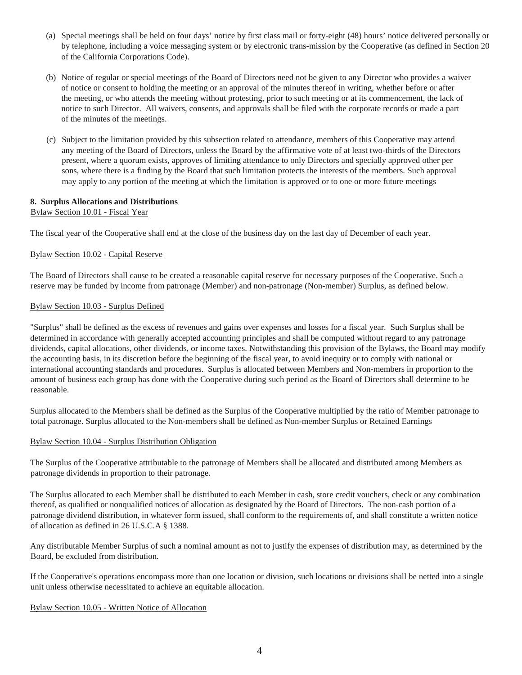- (a) Special meetings shall be held on four days' notice by first class mail or forty-eight (48) hours' notice delivered personally or by telephone, including a voice messaging system or by electronic trans-mission by the Cooperative (as defined in Section 20 of the California Corporations Code).
- (b) Notice of regular or special meetings of the Board of Directors need not be given to any Director who provides a waiver of notice or consent to holding the meeting or an approval of the minutes thereof in writing, whether before or after the meeting, or who attends the meeting without protesting, prior to such meeting or at its commencement, the lack of notice to such Director. All waivers, consents, and approvals shall be filed with the corporate records or made a part of the minutes of the meetings.
- (c) Subject to the limitation provided by this subsection related to attendance, members of this Cooperative may attend any meeting of the Board of Directors, unless the Board by the affirmative vote of at least two-thirds of the Directors present, where a quorum exists, approves of limiting attendance to only Directors and specially approved other per sons, where there is a finding by the Board that such limitation protects the interests of the members. Such approval may apply to any portion of the meeting at which the limitation is approved or to one or more future meetings

## **8. Surplus Allocations and Distributions**

## Bylaw Section 10.01 - Fiscal Year

The fiscal year of the Cooperative shall end at the close of the business day on the last day of December of each year.

## Bylaw Section 10.02 - Capital Reserve

The Board of Directors shall cause to be created a reasonable capital reserve for necessary purposes of the Cooperative. Such a reserve may be funded by income from patronage (Member) and non-patronage (Non-member) Surplus, as defined below.

## Bylaw Section 10.03 - Surplus Defined

"Surplus" shall be defined as the excess of revenues and gains over expenses and losses for a fiscal year. Such Surplus shall be determined in accordance with generally accepted accounting principles and shall be computed without regard to any patronage dividends, capital allocations, other dividends, or income taxes. Notwithstanding this provision of the Bylaws, the Board may modify the accounting basis, in its discretion before the beginning of the fiscal year, to avoid inequity or to comply with national or international accounting standards and procedures. Surplus is allocated between Members and Non-members in proportion to the amount of business each group has done with the Cooperative during such period as the Board of Directors shall determine to be reasonable.

Surplus allocated to the Members shall be defined as the Surplus of the Cooperative multiplied by the ratio of Member patronage to total patronage. Surplus allocated to the Non-members shall be defined as Non-member Surplus or Retained Earnings

## Bylaw Section 10.04 - Surplus Distribution Obligation

The Surplus of the Cooperative attributable to the patronage of Members shall be allocated and distributed among Members as patronage dividends in proportion to their patronage.

The Surplus allocated to each Member shall be distributed to each Member in cash, store credit vouchers, check or any combination thereof, as qualified or nonqualified notices of allocation as designated by the Board of Directors. The non-cash portion of a patronage dividend distribution, in whatever form issued, shall conform to the requirements of, and shall constitute a written notice of allocation as defined in 26 U.S.C.A § 1388.

Any distributable Member Surplus of such a nominal amount as not to justify the expenses of distribution may, as determined by the Board, be excluded from distribution.

If the Cooperative's operations encompass more than one location or division, such locations or divisions shall be netted into a single unit unless otherwise necessitated to achieve an equitable allocation.

## Bylaw Section 10.05 - Written Notice of Allocation